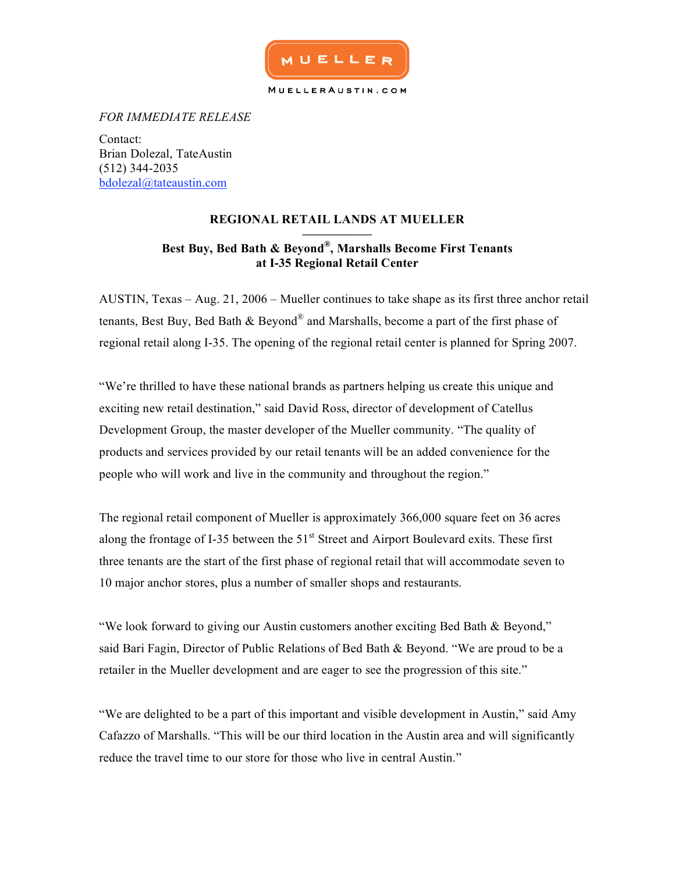

*FOR IMMEDIATE RELEASE*

Contact: Brian Dolezal, TateAustin (512) 344-2035 bdolezal@tateaustin.com

# **REGIONAL RETAIL LANDS AT MUELLER**

## **––––––––––– Best Buy, Bed Bath & Beyond®, Marshalls Become First Tenants at I-35 Regional Retail Center**

AUSTIN, Texas – Aug. 21, 2006 – Mueller continues to take shape as its first three anchor retail tenants, Best Buy, Bed Bath  $\&$  Beyond<sup>®</sup> and Marshalls, become a part of the first phase of regional retail along I-35. The opening of the regional retail center is planned for Spring 2007.

"We're thrilled to have these national brands as partners helping us create this unique and exciting new retail destination," said David Ross, director of development of Catellus Development Group, the master developer of the Mueller community. "The quality of products and services provided by our retail tenants will be an added convenience for the people who will work and live in the community and throughout the region."

The regional retail component of Mueller is approximately 366,000 square feet on 36 acres along the frontage of I-35 between the 51<sup>st</sup> Street and Airport Boulevard exits. These first three tenants are the start of the first phase of regional retail that will accommodate seven to 10 major anchor stores, plus a number of smaller shops and restaurants.

"We look forward to giving our Austin customers another exciting Bed Bath & Beyond," said Bari Fagin, Director of Public Relations of Bed Bath & Beyond. "We are proud to be a retailer in the Mueller development and are eager to see the progression of this site."

"We are delighted to be a part of this important and visible development in Austin," said Amy Cafazzo of Marshalls. "This will be our third location in the Austin area and will significantly reduce the travel time to our store for those who live in central Austin."